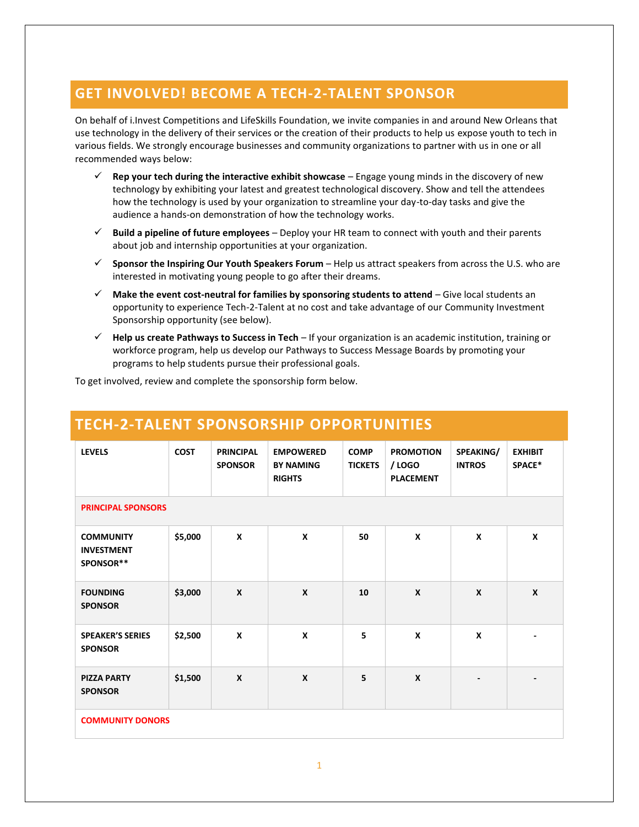## **GET INVOLVED! BECOME A TECH-2-TALENT SPONSOR**

On behalf of i.Invest Competitions and LifeSkills Foundation, we invite companies in and around New Orleans that use technology in the delivery of their services or the creation of their products to help us expose youth to tech in various fields. We strongly encourage businesses and community organizations to partner with us in one or all recommended ways below:

- ✓ **Rep your tech during the interactive exhibit showcase**  Engage young minds in the discovery of new technology by exhibiting your latest and greatest technological discovery. Show and tell the attendees how the technology is used by your organization to streamline your day-to-day tasks and give the audience a hands-on demonstration of how the technology works.
- ✓ **Build a pipeline of future employees** Deploy your HR team to connect with youth and their parents about job and internship opportunities at your organization.
- ✓ **Sponsor the Inspiring Our Youth Speakers Forum** Help us attract speakers from across the U.S. who are interested in motivating young people to go after their dreams.
- ✓ **Make the event cost-neutral for families by sponsoring students to attend** Give local students an opportunity to experience Tech-2-Talent at no cost and take advantage of our Community Investment Sponsorship opportunity (see below).
- ✓ **Help us create Pathways to Success in Tech**  If your organization is an academic institution, training or workforce program, help us develop our Pathways to Success Message Boards by promoting your programs to help students pursue their professional goals.

To get involved, review and complete the sponsorship form below.

# **TECH-2-TALENT SPONSORSHIP OPPORTUNITIES**

| <b>LEVELS</b>                                      | <b>COST</b> | <b>PRINCIPAL</b><br><b>SPONSOR</b> | <b>EMPOWERED</b><br><b>BY NAMING</b><br><b>RIGHTS</b> | <b>COMP</b><br><b>TICKETS</b> | <b>PROMOTION</b><br>/ LOGO<br><b>PLACEMENT</b> | SPEAKING/<br><b>INTROS</b> | <b>EXHIBIT</b><br>SPACE* |
|----------------------------------------------------|-------------|------------------------------------|-------------------------------------------------------|-------------------------------|------------------------------------------------|----------------------------|--------------------------|
| <b>PRINCIPAL SPONSORS</b>                          |             |                                    |                                                       |                               |                                                |                            |                          |
| <b>COMMUNITY</b><br><b>INVESTMENT</b><br>SPONSOR** | \$5,000     | $\boldsymbol{x}$                   | X                                                     | 50                            | X                                              | $\boldsymbol{x}$           | X                        |
| <b>FOUNDING</b><br><b>SPONSOR</b>                  | \$3,000     | $\mathbf{x}$                       | $\boldsymbol{x}$                                      | 10                            | $\boldsymbol{x}$                               | $\boldsymbol{x}$           | $\boldsymbol{x}$         |
| <b>SPEAKER'S SERIES</b><br><b>SPONSOR</b>          | \$2,500     | X                                  | X                                                     | 5                             | X                                              | $\mathbf{x}$               |                          |
| <b>PIZZA PARTY</b><br><b>SPONSOR</b>               | \$1,500     | X                                  | $\boldsymbol{x}$                                      | 5                             | $\boldsymbol{x}$                               |                            |                          |
| <b>COMMUNITY DONORS</b>                            |             |                                    |                                                       |                               |                                                |                            |                          |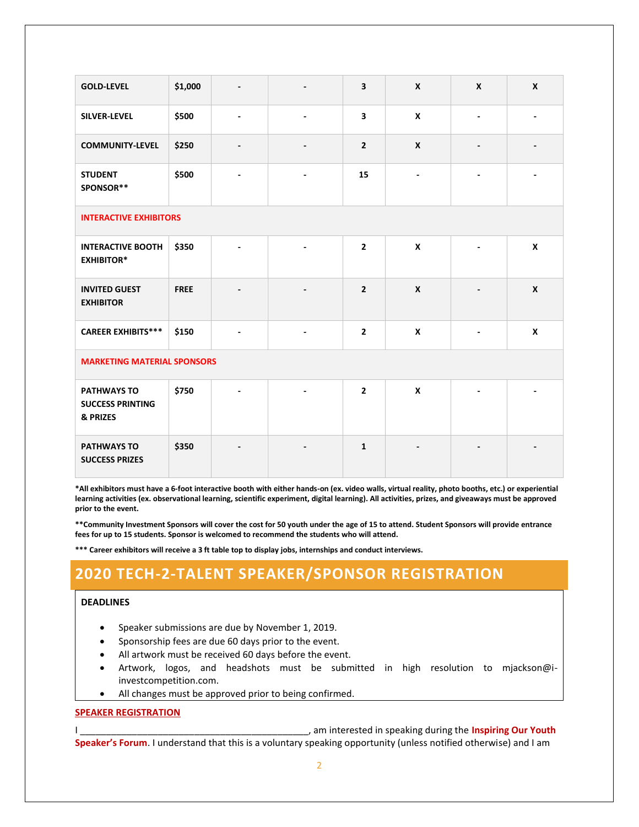| <b>GOLD-LEVEL</b>                                         | \$1,000     | $\overline{\phantom{a}}$ | $\overline{\phantom{a}}$ | 3              | $\boldsymbol{x}$   | $\boldsymbol{x}$         | $\mathbf{x}$       |
|-----------------------------------------------------------|-------------|--------------------------|--------------------------|----------------|--------------------|--------------------------|--------------------|
| SILVER-LEVEL                                              | \$500       |                          |                          | 3              | $\boldsymbol{x}$   |                          |                    |
| <b>COMMUNITY-LEVEL</b>                                    | \$250       | $\overline{\phantom{a}}$ | $\overline{\phantom{a}}$ | $\overline{2}$ | $\boldsymbol{x}$   | $\overline{\phantom{a}}$ |                    |
| <b>STUDENT</b><br>SPONSOR**                               | \$500       | $\blacksquare$           | $\overline{\phantom{a}}$ | 15             | ÷,                 |                          |                    |
| <b>INTERACTIVE EXHIBITORS</b>                             |             |                          |                          |                |                    |                          |                    |
| <b>INTERACTIVE BOOTH</b><br><b>EXHIBITOR*</b>             | \$350       |                          | $\blacksquare$           | $\overline{2}$ | $\mathbf{x}$       |                          | $\pmb{\mathsf{x}}$ |
| <b>INVITED GUEST</b><br><b>EXHIBITOR</b>                  | <b>FREE</b> |                          |                          | $\overline{2}$ | $\pmb{\mathsf{x}}$ |                          | $\pmb{\mathsf{x}}$ |
| <b>CAREER EXHIBITS***</b>                                 | \$150       |                          |                          | $\mathbf{2}$   | $\boldsymbol{x}$   |                          | $\pmb{\mathsf{x}}$ |
| <b>MARKETING MATERIAL SPONSORS</b>                        |             |                          |                          |                |                    |                          |                    |
| <b>PATHWAYS TO</b><br><b>SUCCESS PRINTING</b><br>& PRIZES | \$750       |                          |                          | $\overline{2}$ | $\mathbf{x}$       |                          |                    |
| <b>PATHWAYS TO</b><br><b>SUCCESS PRIZES</b>               | \$350       |                          |                          | $\mathbf{1}$   |                    |                          |                    |

**\*All exhibitors must have a 6-foot interactive booth with either hands-on (ex. video walls, virtual reality, photo booths, etc.) or experiential learning activities (ex. observational learning, scientific experiment, digital learning). All activities, prizes, and giveaways must be approved prior to the event.**

**\*\*Community Investment Sponsors will cover the cost for 50 youth under the age of 15 to attend. Student Sponsors will provide entrance fees for up to 15 students. Sponsor is welcomed to recommend the students who will attend.**

**\*\*\* Career exhibitors will receive a 3 ft table top to display jobs, internships and conduct interviews.**

## **2020 TECH-2-TALENT SPEAKER/SPONSOR REGISTRATION**

#### **DEADLINES**

- Speaker submissions are due by November 1, 2019.
- Sponsorship fees are due 60 days prior to the event.
- All artwork must be received 60 days before the event.
- Artwork, logos, and headshots must be submitted in high resolution to mjackson@iinvestcompetition.com.
- All changes must be approved prior to being confirmed.

#### **SPEAKER REGISTRATION**

I am interested in speaking during the **Inspiring Our Youth** 

**Speaker's Forum**. I understand that this is a voluntary speaking opportunity (unless notified otherwise) and I am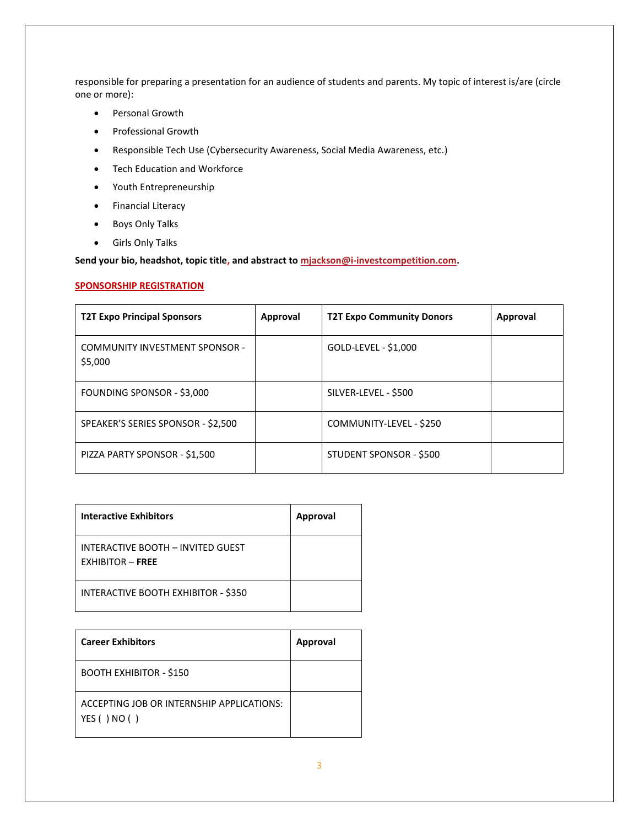responsible for preparing a presentation for an audience of students and parents. My topic of interest is/are (circle one or more):

- Personal Growth
- Professional Growth
- Responsible Tech Use (Cybersecurity Awareness, Social Media Awareness, etc.)
- Tech Education and Workforce
- Youth Entrepreneurship
- Financial Literacy
- Boys Only Talks
- Girls Only Talks

**Send your bio, headshot, topic title, and abstract to [mjackson@i-investcompetition.com.](mailto:mjackson@i-investcompetition.com)**

#### **SPONSORSHIP REGISTRATION**

| <b>T2T Expo Principal Sponsors</b>               | Approval | <b>T2T Expo Community Donors</b> | Approval |
|--------------------------------------------------|----------|----------------------------------|----------|
| <b>COMMUNITY INVESTMENT SPONSOR -</b><br>\$5,000 |          | GOLD-LEVEL - \$1,000             |          |
| FOUNDING SPONSOR - \$3,000                       |          | SILVER-LEVEL - \$500             |          |
| SPEAKER'S SERIES SPONSOR - \$2,500               |          | COMMUNITY-LEVEL - \$250          |          |
| PIZZA PARTY SPONSOR - \$1,500                    |          | STUDENT SPONSOR - \$500          |          |

| <b>Interactive Exhibitors</b>                           | Approval |
|---------------------------------------------------------|----------|
| INTERACTIVE BOOTH - INVITED GUEST<br>$FXHIBITOR - FREE$ |          |
| INTERACTIVE BOOTH EXHIBITOR - \$350                     |          |

| <b>Career Exhibitors</b>                                    | Approval |
|-------------------------------------------------------------|----------|
| <b>BOOTH EXHIBITOR - \$150</b>                              |          |
| ACCEPTING JOB OR INTERNSHIP APPLICATIONS:<br>YES ( ) NO ( ) |          |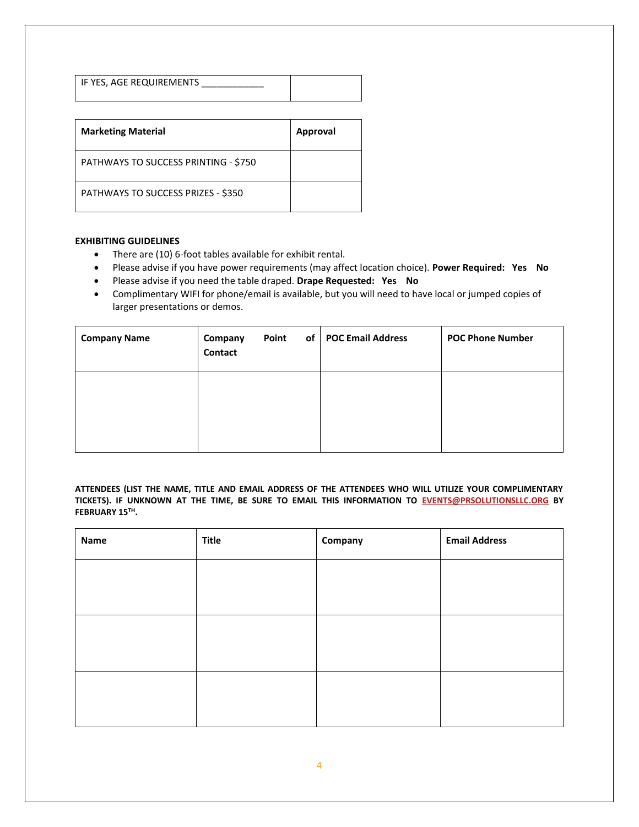IF YES, AGE REQUIREMENTS

| <b>Marketing Material</b>            | Approval |
|--------------------------------------|----------|
| PATHWAYS TO SUCCESS PRINTING - \$750 |          |
| PATHWAYS TO SUCCESS PRIZES - \$350   |          |

### **EXHIBITING GUIDELINES**

- There are (10) 6-foot tables available for exhibit rental.
- Please advise if you have power requirements (may affect location choice). **Power Required: Yes No**
- Please advise if you need the table draped. **Drape Requested: Yes No**
- Complimentary WIFI for phone/email is available, but you will need to have local or jumped copies of larger presentations or demos.

| <b>Company Name</b> | Company<br>Contact | of<br>Point | <b>POC Email Address</b> | <b>POC Phone Number</b> |
|---------------------|--------------------|-------------|--------------------------|-------------------------|
|                     |                    |             |                          |                         |
|                     |                    |             |                          |                         |

**ATTENDEES (LIST THE NAME, TITLE AND EMAIL ADDRESS OF THE ATTENDEES WHO WILL UTILIZE YOUR COMPLIMENTARY TICKETS). IF UNKNOWN AT THE TIME, BE SURE TO EMAIL THIS INFORMATION TO [EVENTS@PRSOLUTIONSLLC.ORG](mailto:EVENTS@PRSOLUTIONSLLC.ORG) BY FEBRUARY 15TH.**

| Name | <b>Title</b> | Company | <b>Email Address</b> |
|------|--------------|---------|----------------------|
|      |              |         |                      |
|      |              |         |                      |
|      |              |         |                      |
|      |              |         |                      |
|      |              |         |                      |
|      |              |         |                      |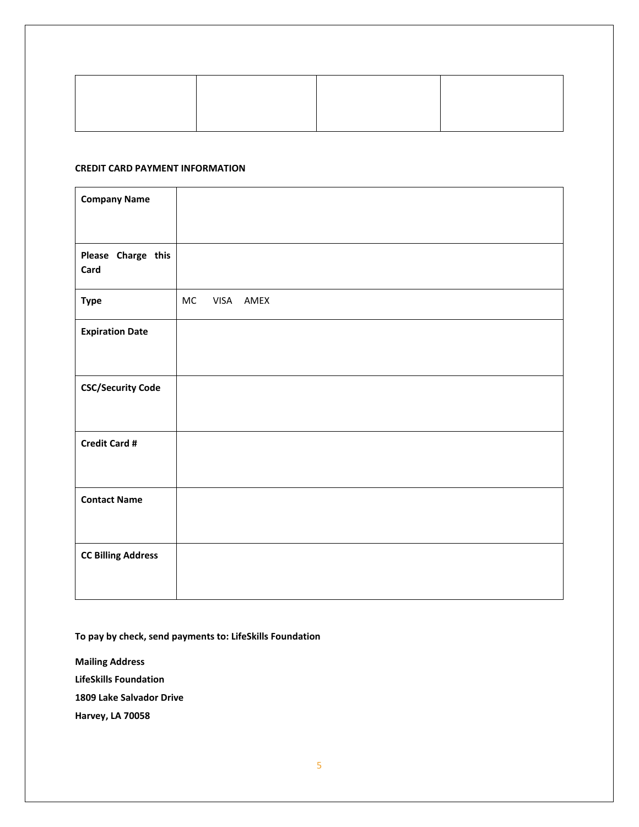#### **CREDIT CARD PAYMENT INFORMATION**

| <b>Company Name</b>        |                 |
|----------------------------|-----------------|
|                            |                 |
| Please Charge this<br>Card |                 |
| <b>Type</b>                | MC<br>VISA AMEX |
| <b>Expiration Date</b>     |                 |
| <b>CSC/Security Code</b>   |                 |
| <b>Credit Card #</b>       |                 |
| <b>Contact Name</b>        |                 |
| <b>CC Billing Address</b>  |                 |

**To pay by check, send payments to: LifeSkills Foundation**

**Mailing Address LifeSkills Foundation 1809 Lake Salvador Drive**

**Harvey, LA 70058**